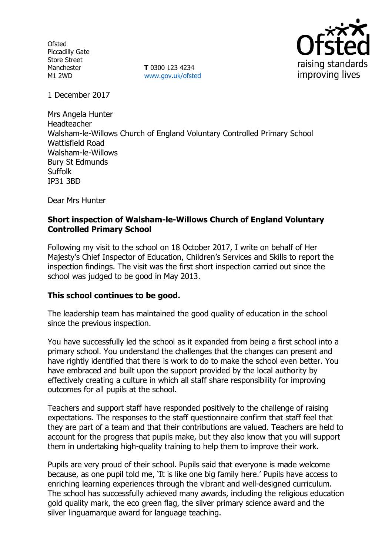**Ofsted** Piccadilly Gate Store Street Manchester M1 2WD

**T** 0300 123 4234 www.gov.uk/ofsted



1 December 2017

Mrs Angela Hunter Headteacher Walsham-le-Willows Church of England Voluntary Controlled Primary School Wattisfield Road Walsham-le-Willows Bury St Edmunds Suffolk IP31 3BD

Dear Mrs Hunter

### **Short inspection of Walsham-le-Willows Church of England Voluntary Controlled Primary School**

Following my visit to the school on 18 October 2017, I write on behalf of Her Majesty's Chief Inspector of Education, Children's Services and Skills to report the inspection findings. The visit was the first short inspection carried out since the school was judged to be good in May 2013.

### **This school continues to be good.**

The leadership team has maintained the good quality of education in the school since the previous inspection.

You have successfully led the school as it expanded from being a first school into a primary school. You understand the challenges that the changes can present and have rightly identified that there is work to do to make the school even better. You have embraced and built upon the support provided by the local authority by effectively creating a culture in which all staff share responsibility for improving outcomes for all pupils at the school.

Teachers and support staff have responded positively to the challenge of raising expectations. The responses to the staff questionnaire confirm that staff feel that they are part of a team and that their contributions are valued. Teachers are held to account for the progress that pupils make, but they also know that you will support them in undertaking high-quality training to help them to improve their work.

Pupils are very proud of their school. Pupils said that everyone is made welcome because, as one pupil told me, 'It is like one big family here.' Pupils have access to enriching learning experiences through the vibrant and well-designed curriculum. The school has successfully achieved many awards, including the religious education gold quality mark, the eco green flag, the silver primary science award and the silver linguamarque award for language teaching.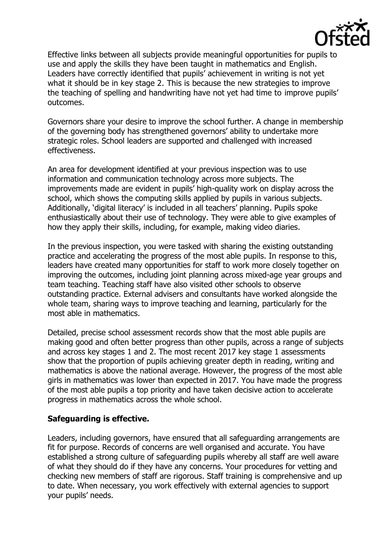

Effective links between all subjects provide meaningful opportunities for pupils to use and apply the skills they have been taught in mathematics and English. Leaders have correctly identified that pupils' achievement in writing is not yet what it should be in key stage 2. This is because the new strategies to improve the teaching of spelling and handwriting have not yet had time to improve pupils' outcomes.

Governors share your desire to improve the school further. A change in membership of the governing body has strengthened governors' ability to undertake more strategic roles. School leaders are supported and challenged with increased effectiveness.

An area for development identified at your previous inspection was to use information and communication technology across more subjects. The improvements made are evident in pupils' high-quality work on display across the school, which shows the computing skills applied by pupils in various subjects. Additionally, 'digital literacy' is included in all teachers' planning. Pupils spoke enthusiastically about their use of technology. They were able to give examples of how they apply their skills, including, for example, making video diaries.

In the previous inspection, you were tasked with sharing the existing outstanding practice and accelerating the progress of the most able pupils. In response to this, leaders have created many opportunities for staff to work more closely together on improving the outcomes, including joint planning across mixed-age year groups and team teaching. Teaching staff have also visited other schools to observe outstanding practice. External advisers and consultants have worked alongside the whole team, sharing ways to improve teaching and learning, particularly for the most able in mathematics.

Detailed, precise school assessment records show that the most able pupils are making good and often better progress than other pupils, across a range of subjects and across key stages 1 and 2. The most recent 2017 key stage 1 assessments show that the proportion of pupils achieving greater depth in reading, writing and mathematics is above the national average. However, the progress of the most able girls in mathematics was lower than expected in 2017. You have made the progress of the most able pupils a top priority and have taken decisive action to accelerate progress in mathematics across the whole school.

### **Safeguarding is effective.**

Leaders, including governors, have ensured that all safeguarding arrangements are fit for purpose. Records of concerns are well organised and accurate. You have established a strong culture of safeguarding pupils whereby all staff are well aware of what they should do if they have any concerns. Your procedures for vetting and checking new members of staff are rigorous. Staff training is comprehensive and up to date. When necessary, you work effectively with external agencies to support your pupils' needs.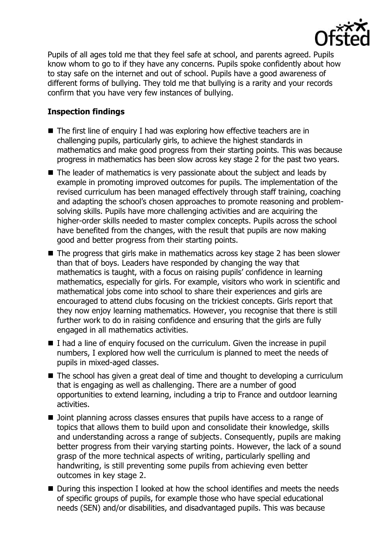

Pupils of all ages told me that they feel safe at school, and parents agreed. Pupils know whom to go to if they have any concerns. Pupils spoke confidently about how to stay safe on the internet and out of school. Pupils have a good awareness of different forms of bullying. They told me that bullying is a rarity and your records confirm that you have very few instances of bullying.

# **Inspection findings**

- The first line of enquiry I had was exploring how effective teachers are in challenging pupils, particularly girls, to achieve the highest standards in mathematics and make good progress from their starting points. This was because progress in mathematics has been slow across key stage 2 for the past two years.
- The leader of mathematics is very passionate about the subject and leads by example in promoting improved outcomes for pupils. The implementation of the revised curriculum has been managed effectively through staff training, coaching and adapting the school's chosen approaches to promote reasoning and problemsolving skills. Pupils have more challenging activities and are acquiring the higher-order skills needed to master complex concepts. Pupils across the school have benefited from the changes, with the result that pupils are now making good and better progress from their starting points.
- The progress that girls make in mathematics across key stage 2 has been slower than that of boys. Leaders have responded by changing the way that mathematics is taught, with a focus on raising pupils' confidence in learning mathematics, especially for girls. For example, visitors who work in scientific and mathematical jobs come into school to share their experiences and girls are encouraged to attend clubs focusing on the trickiest concepts. Girls report that they now enjoy learning mathematics. However, you recognise that there is still further work to do in raising confidence and ensuring that the girls are fully engaged in all mathematics activities.
- I had a line of enquiry focused on the curriculum. Given the increase in pupil numbers, I explored how well the curriculum is planned to meet the needs of pupils in mixed-aged classes.
- The school has given a great deal of time and thought to developing a curriculum that is engaging as well as challenging. There are a number of good opportunities to extend learning, including a trip to France and outdoor learning activities.
- Doint planning across classes ensures that pupils have access to a range of topics that allows them to build upon and consolidate their knowledge, skills and understanding across a range of subjects. Consequently, pupils are making better progress from their varying starting points. However, the lack of a sound grasp of the more technical aspects of writing, particularly spelling and handwriting, is still preventing some pupils from achieving even better outcomes in key stage 2.
- During this inspection I looked at how the school identifies and meets the needs of specific groups of pupils, for example those who have special educational needs (SEN) and/or disabilities, and disadvantaged pupils. This was because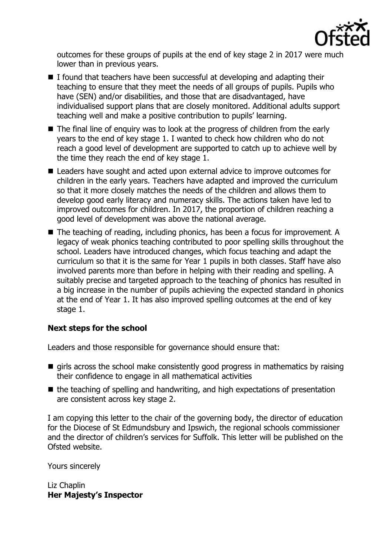

outcomes for these groups of pupils at the end of key stage 2 in 2017 were much lower than in previous years.

- $\blacksquare$  I found that teachers have been successful at developing and adapting their teaching to ensure that they meet the needs of all groups of pupils. Pupils who have (SEN) and/or disabilities, and those that are disadvantaged, have individualised support plans that are closely monitored. Additional adults support teaching well and make a positive contribution to pupils' learning.
- The final line of enguiry was to look at the progress of children from the early years to the end of key stage 1. I wanted to check how children who do not reach a good level of development are supported to catch up to achieve well by the time they reach the end of key stage 1.
- Leaders have sought and acted upon external advice to improve outcomes for children in the early years. Teachers have adapted and improved the curriculum so that it more closely matches the needs of the children and allows them to develop good early literacy and numeracy skills. The actions taken have led to improved outcomes for children. In 2017, the proportion of children reaching a good level of development was above the national average.
- The teaching of reading, including phonics, has been a focus for improvement. A legacy of weak phonics teaching contributed to poor spelling skills throughout the school. Leaders have introduced changes, which focus teaching and adapt the curriculum so that it is the same for Year 1 pupils in both classes. Staff have also involved parents more than before in helping with their reading and spelling. A suitably precise and targeted approach to the teaching of phonics has resulted in a big increase in the number of pupils achieving the expected standard in phonics at the end of Year 1. It has also improved spelling outcomes at the end of key stage 1.

## **Next steps for the school**

Leaders and those responsible for governance should ensure that:

- $\blacksquare$  girls across the school make consistently good progress in mathematics by raising their confidence to engage in all mathematical activities
- $\blacksquare$  the teaching of spelling and handwriting, and high expectations of presentation are consistent across key stage 2.

I am copying this letter to the chair of the governing body, the director of education for the Diocese of St Edmundsbury and Ipswich, the regional schools commissioner and the director of children's services for Suffolk. This letter will be published on the Ofsted website.

Yours sincerely

Liz Chaplin **Her Majesty's Inspector**